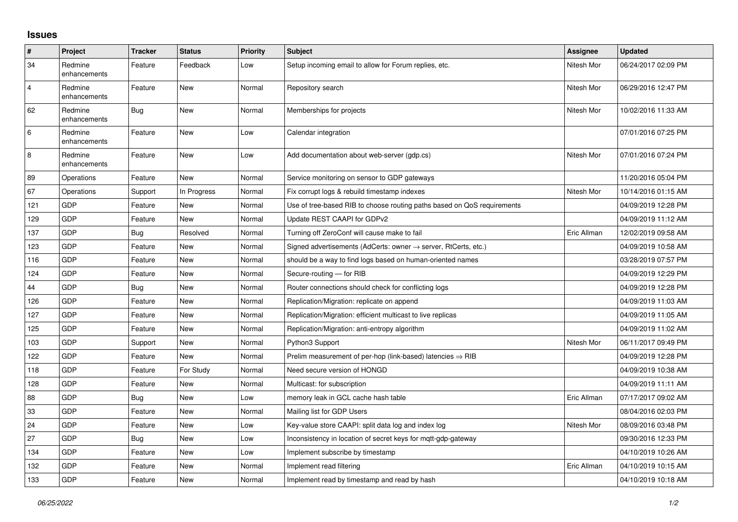## **Issues**

| #              | Project                 | <b>Tracker</b> | <b>Status</b> | <b>Priority</b> | <b>Subject</b>                                                             | Assignee    | <b>Updated</b>      |
|----------------|-------------------------|----------------|---------------|-----------------|----------------------------------------------------------------------------|-------------|---------------------|
| 34             | Redmine<br>enhancements | Feature        | Feedback      | Low             | Setup incoming email to allow for Forum replies, etc.                      | Nitesh Mor  | 06/24/2017 02:09 PM |
| $\overline{4}$ | Redmine<br>enhancements | Feature        | New           | Normal          | Repository search                                                          | Nitesh Mor  | 06/29/2016 12:47 PM |
| 62             | Redmine<br>enhancements | Bug            | <b>New</b>    | Normal          | Memberships for projects                                                   | Nitesh Mor  | 10/02/2016 11:33 AM |
| 6              | Redmine<br>enhancements | Feature        | <b>New</b>    | Low             | Calendar integration                                                       |             | 07/01/2016 07:25 PM |
| 8              | Redmine<br>enhancements | Feature        | <b>New</b>    | Low             | Add documentation about web-server (gdp.cs)                                | Nitesh Mor  | 07/01/2016 07:24 PM |
| 89             | Operations              | Feature        | New           | Normal          | Service monitoring on sensor to GDP gateways                               |             | 11/20/2016 05:04 PM |
| 67             | Operations              | Support        | In Progress   | Normal          | Fix corrupt logs & rebuild timestamp indexes                               | Nitesh Mor  | 10/14/2016 01:15 AM |
| 121            | GDP                     | Feature        | New           | Normal          | Use of tree-based RIB to choose routing paths based on QoS requirements    |             | 04/09/2019 12:28 PM |
| 129            | <b>GDP</b>              | Feature        | <b>New</b>    | Normal          | Update REST CAAPI for GDPv2                                                |             | 04/09/2019 11:12 AM |
| 137            | GDP                     | Bug            | Resolved      | Normal          | Turning off ZeroConf will cause make to fail                               | Eric Allman | 12/02/2019 09:58 AM |
| 123            | GDP                     | Feature        | <b>New</b>    | Normal          | Signed advertisements (AdCerts: owner $\rightarrow$ server, RtCerts, etc.) |             | 04/09/2019 10:58 AM |
| 116            | <b>GDP</b>              | Feature        | New           | Normal          | should be a way to find logs based on human-oriented names                 |             | 03/28/2019 07:57 PM |
| 124            | <b>GDP</b>              | Feature        | <b>New</b>    | Normal          | Secure-routing - for RIB                                                   |             | 04/09/2019 12:29 PM |
| 44             | GDP                     | Bug            | New           | Normal          | Router connections should check for conflicting logs                       |             | 04/09/2019 12:28 PM |
| 126            | <b>GDP</b>              | Feature        | <b>New</b>    | Normal          | Replication/Migration: replicate on append                                 |             | 04/09/2019 11:03 AM |
| 127            | GDP                     | Feature        | New           | Normal          | Replication/Migration: efficient multicast to live replicas                |             | 04/09/2019 11:05 AM |
| 125            | GDP                     | Feature        | New           | Normal          | Replication/Migration: anti-entropy algorithm                              |             | 04/09/2019 11:02 AM |
| 103            | <b>GDP</b>              | Support        | New           | Normal          | Python3 Support                                                            | Nitesh Mor  | 06/11/2017 09:49 PM |
| 122            | <b>GDP</b>              | Feature        | New           | Normal          | Prelim measurement of per-hop (link-based) latencies $\Rightarrow$ RIB     |             | 04/09/2019 12:28 PM |
| 118            | GDP                     | Feature        | For Study     | Normal          | Need secure version of HONGD                                               |             | 04/09/2019 10:38 AM |
| 128            | <b>GDP</b>              | Feature        | New           | Normal          | Multicast: for subscription                                                |             | 04/09/2019 11:11 AM |
| 88             | GDP                     | Bug            | <b>New</b>    | Low             | memory leak in GCL cache hash table                                        | Eric Allman | 07/17/2017 09:02 AM |
| 33             | GDP                     | Feature        | New           | Normal          | Mailing list for GDP Users                                                 |             | 08/04/2016 02:03 PM |
| 24             | <b>GDP</b>              | Feature        | New           | Low             | Key-value store CAAPI: split data log and index log                        | Nitesh Mor  | 08/09/2016 03:48 PM |
| 27             | GDP                     | Bug            | New           | Low             | Inconsistency in location of secret keys for mqtt-gdp-gateway              |             | 09/30/2016 12:33 PM |
| 134            | GDP                     | Feature        | <b>New</b>    | Low             | Implement subscribe by timestamp                                           |             | 04/10/2019 10:26 AM |
| 132            | <b>GDP</b>              | Feature        | <b>New</b>    | Normal          | Implement read filtering                                                   | Eric Allman | 04/10/2019 10:15 AM |
| 133            | GDP                     | Feature        | New           | Normal          | Implement read by timestamp and read by hash                               |             | 04/10/2019 10:18 AM |